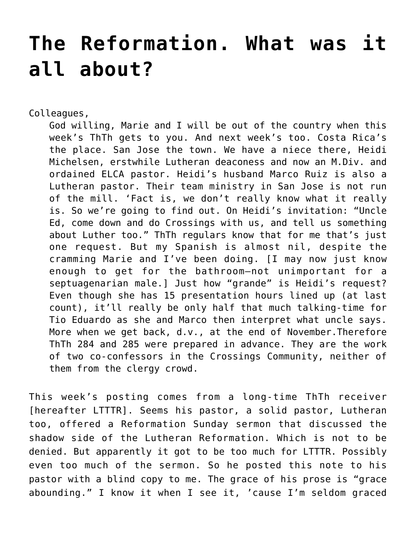## **[The Reformation. What was it](https://crossings.org/the-reformation-what-was-it-all-about/) [all about?](https://crossings.org/the-reformation-what-was-it-all-about/)**

Colleagues,

God willing, Marie and I will be out of the country when this week's ThTh gets to you. And next week's too. Costa Rica's the place. San Jose the town. We have a niece there, Heidi Michelsen, erstwhile Lutheran deaconess and now an M.Div. and ordained ELCA pastor. Heidi's husband Marco Ruiz is also a Lutheran pastor. Their team ministry in San Jose is not run of the mill. 'Fact is, we don't really know what it really is. So we're going to find out. On Heidi's invitation: "Uncle Ed, come down and do Crossings with us, and tell us something about Luther too." ThTh regulars know that for me that's just one request. But my Spanish is almost nil, despite the cramming Marie and I've been doing. [I may now just know enough to get for the bathroom–not unimportant for a septuagenarian male.] Just how "grande" is Heidi's request? Even though she has 15 presentation hours lined up (at last count), it'll really be only half that much talking-time for Tio Eduardo as she and Marco then interpret what uncle says. More when we get back, d.v., at the end of November.Therefore ThTh 284 and 285 were prepared in advance. They are the work of two co-confessors in the Crossings Community, neither of them from the clergy crowd.

This week's posting comes from a long-time ThTh receiver [hereafter LTTTR]. Seems his pastor, a solid pastor, Lutheran too, offered a Reformation Sunday sermon that discussed the shadow side of the Lutheran Reformation. Which is not to be denied. But apparently it got to be too much for LTTTR. Possibly even too much of the sermon. So he posted this note to his pastor with a blind copy to me. The grace of his prose is "grace abounding." I know it when I see it, 'cause I'm seldom graced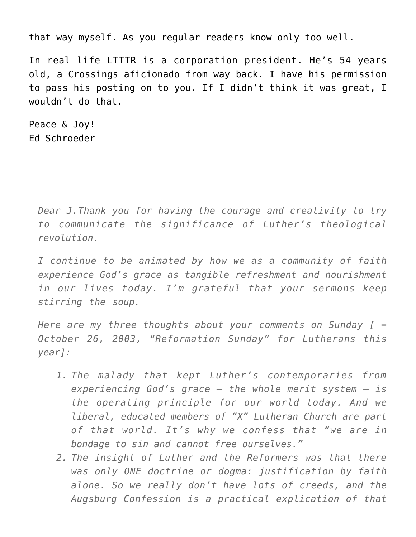that way myself. As you regular readers know only too well.

In real life LTTTR is a corporation president. He's 54 years old, a Crossings aficionado from way back. I have his permission to pass his posting on to you. If I didn't think it was great, I wouldn't do that.

Peace & Joy! Ed Schroeder

> *Dear J.Thank you for having the courage and creativity to try to communicate the significance of Luther's theological revolution.*

> *I continue to be animated by how we as a community of faith experience God's grace as tangible refreshment and nourishment in our lives today. I'm grateful that your sermons keep stirring the soup.*

> *Here are my three thoughts about your comments on Sunday [ = October 26, 2003, "Reformation Sunday" for Lutherans this year]:*

- *1. The malady that kept Luther's contemporaries from experiencing God's grace — the whole merit system — is the operating principle for our world today. And we liberal, educated members of "X" Lutheran Church are part of that world. It's why we confess that "we are in bondage to sin and cannot free ourselves."*
- *2. The insight of Luther and the Reformers was that there was only ONE doctrine or dogma: justification by faith alone. So we really don't have lots of creeds, and the Augsburg Confession is a practical explication of that*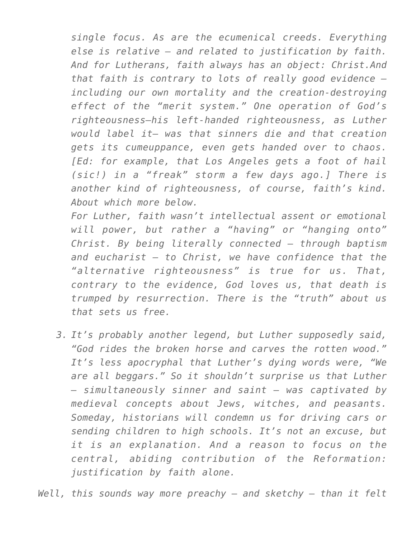*single focus. As are the ecumenical creeds. Everything else is relative — and related to justification by faith. And for Lutherans, faith always has an object: Christ.And that faith is contrary to lots of really good evidence including our own mortality and the creation-destroying effect of the "merit system." One operation of God's righteousness–his left-handed righteousness, as Luther would label it– was that sinners die and that creation gets its cumeuppance, even gets handed over to chaos. [Ed: for example, that Los Angeles gets a foot of hail (sic!) in a "freak" storm a few days ago.] There is another kind of righteousness, of course, faith's kind. About which more below.*

*For Luther, faith wasn't intellectual assent or emotional will power, but rather a "having" or "hanging onto" Christ. By being literally connected — through baptism and eucharist — to Christ, we have confidence that the "alternative righteousness" is true for us. That, contrary to the evidence, God loves us, that death is trumped by resurrection. There is the "truth" about us that sets us free.*

*3. It's probably another legend, but Luther supposedly said, "God rides the broken horse and carves the rotten wood." It's less apocryphal that Luther's dying words were, "We are all beggars." So it shouldn't surprise us that Luther — simultaneously sinner and saint — was captivated by medieval concepts about Jews, witches, and peasants. Someday, historians will condemn us for driving cars or sending children to high schools. It's not an excuse, but it is an explanation. And a reason to focus on the central, abiding contribution of the Reformation: justification by faith alone.*

*Well, this sounds way more preachy — and sketchy — than it felt*